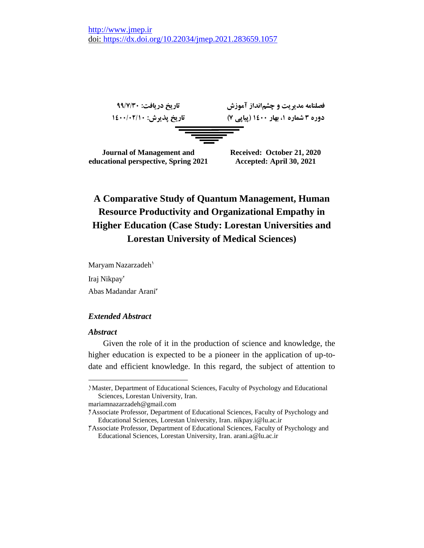

# **A Comparative Study of Quantum Management, Human Resource Productivity and Organizational Empathy in Higher Education (Case Study: Lorestan Universities and Lorestan University of Medical Sciences)**

Maryam Nazarzadeh<sup>1</sup> Iraj Nikpay<sup>\*</sup> Abas Madandar Arani<sup>r</sup>

## *Extended Abstract*

### *Abstract*

 $\overline{a}$ 

Given the role of it in the production of science and knowledge, the higher education is expected to be a pioneer in the application of up-todate and efficient knowledge. In this regard, the subject of attention to

[mariamnazarzadeh@gmail.com](mailto:mariamnazarzadeh@gmail.com)

<sup>1.</sup> Master, Department of Educational Sciences, Faculty of Psychology and Educational Sciences, Lorestan University, Iran.

<sup>2.</sup> Associate Professor, Department of Educational Sciences, Faculty of Psychology and Educational Sciences, Lorestan University, Iran. [nikpay.i@lu.ac.ir](mailto:nikpay.i@lu.ac.ir)

<sup>3.</sup> Associate Professor, Department of Educational Sciences, Faculty of Psychology and Educational Sciences, Lorestan University, Iran. [arani.a@lu.ac.ir](mailto:arani.a@lu.ac.ir)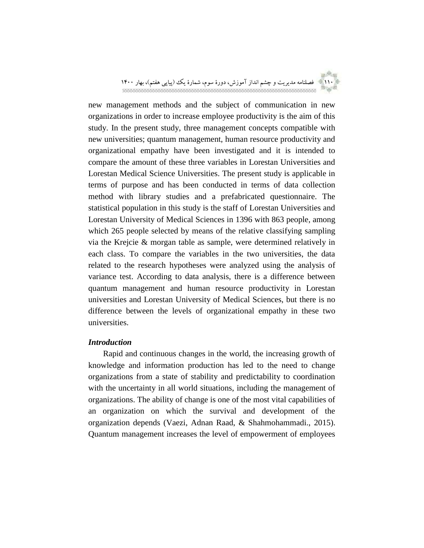

new management methods and the subject of communication in new organizations in order to increase employee productivity is the aim of this study. In the present study, three management concepts compatible with new universities; quantum management, human resource productivity and organizational empathy have been investigated and it is intended to compare the amount of these three variables in Lorestan Universities and Lorestan Medical Science Universities. The present study is applicable in terms of purpose and has been conducted in terms of data collection method with library studies and a prefabricated questionnaire. The statistical population in this study is the staff of Lorestan Universities and Lorestan University of Medical Sciences in 1396 with 863 people, among which 265 people selected by means of the relative classifying sampling via the Krejcie & morgan table as sample, were determined relatively in each class. To compare the variables in the two universities, the data related to the research hypotheses were analyzed using the analysis of variance test. According to data analysis, there is a difference between quantum management and human resource productivity in Lorestan universities and Lorestan University of Medical Sciences, but there is no difference between the levels of organizational empathy in these two universities.

## *Introduction*

Rapid and continuous changes in the world, the increasing growth of knowledge and information production has led to the need to change organizations from a state of stability and predictability to coordination with the uncertainty in all world situations, including the management of organizations. The ability of change is one of the most vital capabilities of an organization on which the survival and development of the organization depends (Vaezi, Adnan Raad, & Shahmohammadi., 2015). Quantum management increases the level of empowerment of employees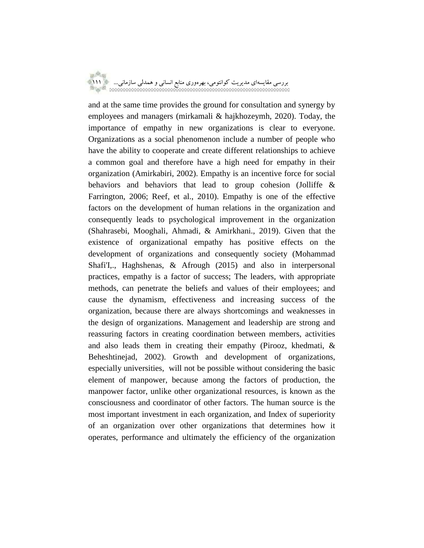and at the same time provides the ground for consultation and synergy by employees and managers (mirkamali & hajkhozeymh, 2020). Today, the importance of empathy in new organizations is clear to everyone. Organizations as a social phenomenon include a number of people who have the ability to cooperate and create different relationships to achieve a common goal and therefore have a high need for empathy in their organization (Amirkabiri, 2002). Empathy is an incentive force for social behaviors and behaviors that lead to group cohesion (Jolliffe & Farrington, 2006; Reef, et al., 2010). Empathy is one of the effective factors on the development of human relations in the organization and consequently leads to psychological improvement in the organization (Shahrasebi, Mooghali, Ahmadi, & Amirkhani., 2019). Given that the existence of organizational empathy has positive effects on the development of organizations and consequently society (Mohammad Shafi'I,., Haghshenas, & Afrough (2015) and also in interpersonal practices, empathy is a factor of success; The leaders, with appropriate methods, can penetrate the beliefs and values of their employees; and cause the dynamism, effectiveness and increasing success of the organization, because there are always shortcomings and weaknesses in the design of organizations. Management and leadership are strong and reassuring factors in creating coordination between members, activities and also leads them in creating their empathy (Pirooz, khedmati, & Beheshtinejad, 2002). Growth and development of organizations, especially universities, will not be possible without considering the basic element of manpower, because among the factors of production, the manpower factor, unlike other organizational resources, is known as the consciousness and coordinator of other factors. The human source is the most important investment in each organization, and Index of superiority of an organization over other organizations that determines how it operates, performance and ultimately the efficiency of the organization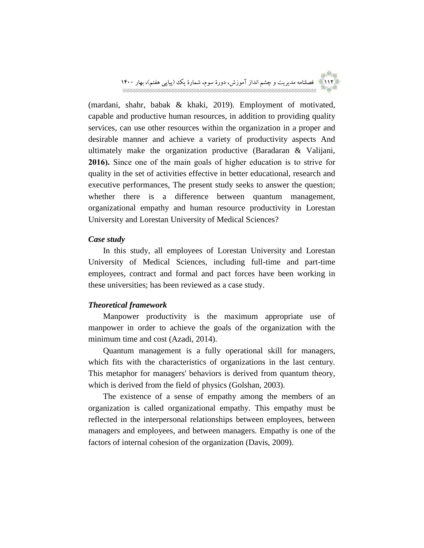

(mardani, shahr, babak & khaki, 2019). Employment of motivated, capable and productive human resources, in addition to providing quality services, can use other resources within the organization in a proper and desirable manner and achieve a variety of productivity aspects And ultimately make the organization productive (Baradaran & Valijani, **2016).** Since one of the main goals of higher education is to strive for quality in the set of activities effective in better educational, research and executive performances, The present study seeks to answer the question; whether there is a difference between quantum management, organizational empathy and human resource productivity in Lorestan University and Lorestan University of Medical Sciences?

### *Case study*

In this study, all employees of Lorestan University and Lorestan University of Medical Sciences, including full-time and part-time employees, contract and formal and pact forces have been working in these universities; has been reviewed as a case study.

## *Theoretical framework*

Manpower productivity is the maximum appropriate use of manpower in order to achieve the goals of the organization with the minimum time and cost (Azadi, 2014).

Quantum management is a fully operational skill for managers, which fits with the characteristics of organizations in the last century. This metaphor for managers' behaviors is derived from quantum theory, which is derived from the field of physics (Golshan, 2003).

The existence of a sense of empathy among the members of an organization is called organizational empathy. This empathy must be reflected in the interpersonal relationships between employees, between managers and employees, and between managers. Empathy is one of the factors of internal cohesion of the organization (Davis, 2009).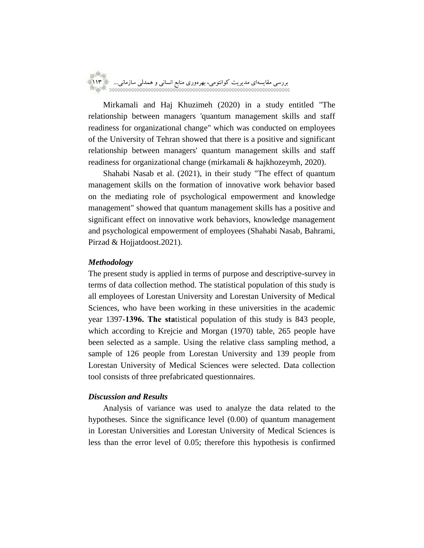

Mirkamali and Haj Khuzimeh (2020) in a study entitled "The relationship between managers 'quantum management skills and staff readiness for organizational change" which was conducted on employees of the University of Tehran showed that there is a positive and significant relationship between managers' quantum management skills and staff readiness for organizational change (mirkamali & hajkhozeymh, 2020).

Shahabi Nasab et al. (2021), in their study "The effect of quantum management skills on the formation of innovative work behavior based on the mediating role of psychological empowerment and knowledge management" showed that quantum management skills has a positive and significant effect on innovative work behaviors, knowledge management and psychological empowerment of employees (Shahabi Nasab, Bahrami, Pirzad & Hojjatdoost.2021).

### *Methodology*

The present study is applied in terms of purpose and descriptive-survey in terms of data collection method. The statistical population of this study is all employees of Lorestan University and Lorestan University of Medical Sciences, who have been working in these universities in the academic year 1397-**1396. The sta**tistical population of this study is 843 people, which according to Krejcie and Morgan (1970) table, 265 people have been selected as a sample. Using the relative class sampling method, a sample of 126 people from Lorestan University and 139 people from Lorestan University of Medical Sciences were selected. Data collection tool consists of three prefabricated questionnaires.

### *Discussion and Results*

Analysis of variance was used to analyze the data related to the hypotheses. Since the significance level (0.00) of quantum management in Lorestan Universities and Lorestan University of Medical Sciences is less than the error level of 0.05; therefore this hypothesis is confirmed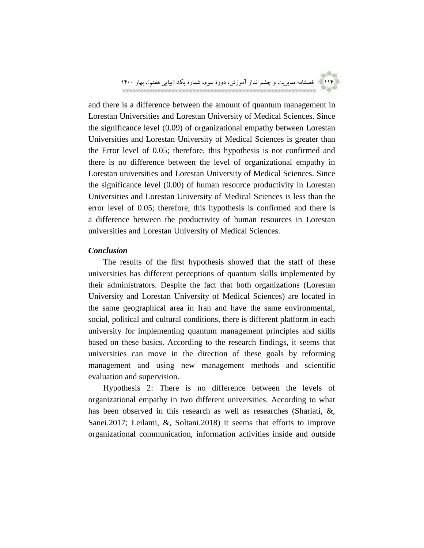

and there is a difference between the amount of quantum management in Lorestan Universities and Lorestan University of Medical Sciences. Since the significance level (0.09) of organizational empathy between Lorestan Universities and Lorestan University of Medical Sciences is greater than the Error level of 0.05; therefore, this hypothesis is not confirmed and there is no difference between the level of organizational empathy in Lorestan universities and Lorestan University of Medical Sciences. Since the significance level (0.00) of human resource productivity in Lorestan Universities and Lorestan University of Medical Sciences is less than the error level of 0.05; therefore, this hypothesis is confirmed and there is a difference between the productivity of human resources in Lorestan universities and Lorestan University of Medical Sciences.

### *Conclusion*

The results of the first hypothesis showed that the staff of these universities has different perceptions of quantum skills implemented by their administrators. Despite the fact that both organizations (Lorestan University and Lorestan University of Medical Sciences) are located in the same geographical area in Iran and have the same environmental, social, political and cultural conditions, there is different platform in each university for implementing quantum management principles and skills based on these basics. According to the research findings, it seems that universities can move in the direction of these goals by reforming management and using new management methods and scientific evaluation and supervision.

Hypothesis 2: There is no difference between the levels of organizational empathy in two different universities. According to what has been observed in this research as well as researches (Shariati, &, Sanei.2017; Leilami, &, Soltani.2018) it seems that efforts to improve organizational communication, information activities inside and outside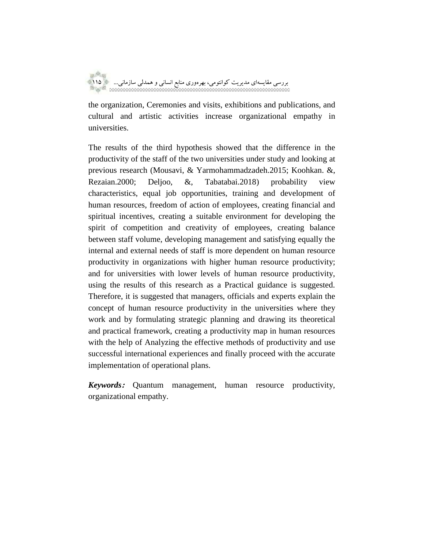

the organization, Ceremonies and visits, exhibitions and publications, and cultural and artistic activities increase organizational empathy in universities.

The results of the third hypothesis showed that the difference in the productivity of the staff of the two universities under study and looking at previous research (Mousavi, & Yarmohammadzadeh.2015; Koohkan. &, Rezaian.2000; Deljoo, &, Tabatabai.2018) probability view characteristics, equal job opportunities, training and development of human resources, freedom of action of employees, creating financial and spiritual incentives, creating a suitable environment for developing the spirit of competition and creativity of employees, creating balance between staff volume, developing management and satisfying equally the internal and external needs of staff is more dependent on human resource productivity in organizations with higher human resource productivity; and for universities with lower levels of human resource productivity, using the results of this research as a Practical guidance is suggested. Therefore, it is suggested that managers, officials and experts explain the concept of human resource productivity in the universities where they work and by formulating strategic planning and drawing its theoretical and practical framework, creating a productivity map in human resources with the help of Analyzing the effective methods of productivity and use successful international experiences and finally proceed with the accurate implementation of operational plans.

*Keywords***:** Quantum management, human resource productivity, organizational empathy.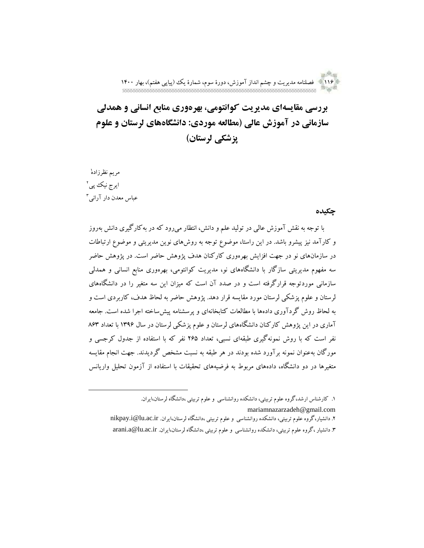an <sup>Sh</sup>an 116 فصلنامه مدیریت و چشم انداز آموزش، دورة سوم، شمارة یک )پیاپی هفتم(، بهار 1400

**بررسی مقایسهای مدیریت کوانتومی، بهرهوری منابع انسانی و همدلی سازمانی در آموزش عالی )مطالعه موردی: دانشگاههای لرستان و علوم پزشکی لرستان(**

مریم نظرزاده 1 ایرج نیک پی آ عباس معدن دار آرانی<sup>۳</sup>

 $\overline{a}$ 

#### **چکیده**

با توجه به نقش آموزش عالی در تولید علم و دانش، انتظار میرود که در بهکارگیری دانش بهروز و کارآمد نیز پیشرو باشد. در این راستا، موضوع توجه به روشهای نوین مدیریتی و موضوع ارتباطات در سازمانهای نو در جهت افزایش بهرهوری کارکنان هدف پژوهش حاضر است. در پژوهش حاضر سه مفهوم مدیریتی سازگار با دانشگاههای نو، مدیریت کوانتومی، بهرهوری منابع انسانی و همدلی سازمانی موردتوجه قرارگرفته است و در صدد آن است که میزان این سه متغیر را در دانشگاههای لرستان و علوم پزشکی لرستان مورد مقایسه قرار دهد. پژوهش حاضر به لحاظ هدف، کاربردی است و به لحاظ روش گردآوری دادهها با مطالعات کتابخانهای و پرسشنامه پیشساخته اجرا شده است. جامعه آماری در این پژوهش کارکنان دانشگاههای لرستان و علوم پزشکی لرستان در سال 1396 با تعداد 863 نفر است که با روش نمونهگیری طبقهای نسبی، تعداد 265 نفر که با استفاده از جدول کرجسی و مورگان بهعنوان نمونه برآورد شده بودند در هر طبقه به نسبت مشخص گردیدند. جهت انجام مقایسه متغیرها در دو دانشگاه، دادههای مربوط به فرضیههای تحقیقات با استفاده از آزمون تحلیل واریانس

.1 کارشناس ارشد،گروه علوم تربیتی، دانشکده روانشناسی و علوم تربیتی ،دانشگاه لرستان،ایران. mariamnazarzadeh@gmail.com .2 دانشیار،گروه علوم تربیتی، دانشکده روانشناسی و علوم تربیتی ،دانشگاه لرستان،ایران. [ir.ac.lu@i.nikpay](mailto:nikpay.i@lu.ac.ir) .3 دانشیار ،گروه علوم تربیتی، دانشکده روانشناسی و علوم تربیتی ،دانشگاه لرستان،ایران. [ir.ac.lu@a.arani](mailto:arani.a@lu.ac.ir)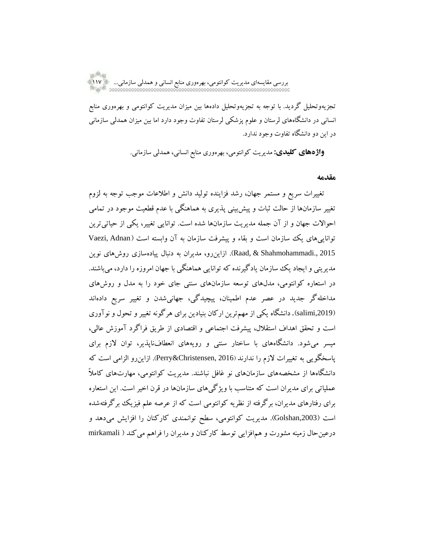تجزیهوتحلیل گردید. با توجه به تجزیهوتحلیل دادهها بین میزان مدیریت کوانتومی و بهرهوری منابع انسانی در دانشگاههای لرستان و علوم پزشکی لرستان تفاوت وجود دارد اما بین میزان همدلی سازمانی در این دو دانشگاه تفاوت وجود ندارد.

**واژههای کلیدی:** مدیریت کوانتومی، بهرهوری منابع انسانی، همدلی سازمانی.

#### **مقدمه**

تغییرات سریع و مستمر جهان، رشد فزاینده تولید دانش و اطالعات موجب توجه به لزوم تغییر سازمانها از حالت ثبات و پیشبینی پذیری به هماهنگی با عدم قطعیت موجود در تمامی احوالات جهان و از آن جمله مدیریت سازمانها شده است. توانایی تغییر، یکی از حیاتی ترین تواناییهای یک سازمان است و بقاء و پیشرفت سازمان به آن وابسته است (Vaezi, Adnan 2015 .,Shahmohammadi & ,Raad). ازاینرو، مدیران به دنبال پیادهسازی روشهای نوین مدیریتی و ایجاد یک سازمان یادگیرنده که توانایی هماهنگی با جهان امروزه را دارد، میباشند. در استعاره کوانتومی، مدلهای توسعه سازمانهای سنتی جای خود را به مدل و روشهای مداخلهگر جدید در عصر عدم اطمینان، پیچیدگی، جهانیشدن و تغییر سریع دادهاند ),2019salimi). دانشگاه یکی از مهمترین ارکان بنیادین برای هرگونه تغییر و تحول و نوآوری است و تحقق اهداف استقالل، پیشرفت اجتماعی و اقتصادی از طریق فراگرد آموزش عالی، میسر میشود. دانشگاههای با ساختار سنتی و رویههای انعطافناپذیر، توان الزم برای پاسخگویی به تغییرات الزم را ندارند )2016 [,Christensen&](https://www.wiley.com/en-us/search?pq=%7Crelevance%7Cauthor%3ARobert+K.+Christensen)Perry). ازاینرو الزامی است که دانشگاهها از مشخصههای سازمانهای نو غافل نباشند. مدیریت کوانتومی، مهارتهای کامالا عملیاتی برای مدیران است که متناسب با ویژگیهای سازمانها در قرن اخیر است. این استعاره برای رفتارهای مدیران، برگرفته از نظریه کوانتومی است که از عرصه علم فیزیک برگرفتهشده است ),2003Golshan). مدیریت کوانتومی، سطح توانمندی کارکنان را افزایش میدهد و درعینحال زمینه مشورت و همافزایی توسط کارکنان و مدیران را فراهم میکند ) mirkamali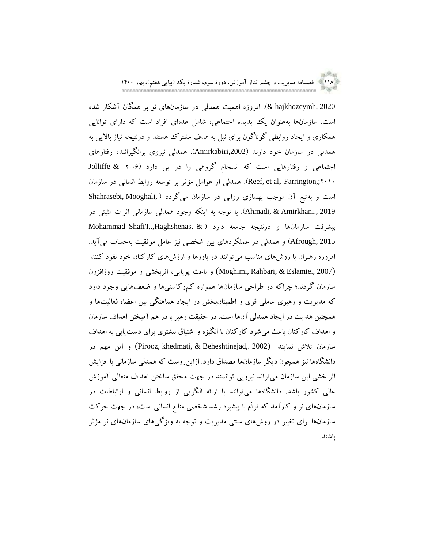118 فصلنامه مدیریت و چشم انداز آموزش، دورة سوم، شمارة یک )پیاپی هفتم(، بهار 1400

2020 ,hajkhozeymh)& . امروزه اهمیت همدلی در سازمانهای نو بر همگان آشکار شده است. سازمانها بهعنوان یک پدیده اجتماعی، شامل عدهای افراد است که دارای توانایی همکاری و ایجاد روابطی گوناگون برای نیل به هدف مشترک هستند و درنتیجه نیاز باالیی به همدلی در سازمان خود دارند ),2002Amirkabiri). همدلی نیروی برانگیزاننده رفتارهای اجتماعی و رفتارهایی است که انسجام گروهی را در پی دارد )2006 & Jolliffe 2010;,Farrington ,al et ,Reef). همدلی از عوامل مؤثر بر توسعه روابط انسانی در سازمان است و بهتبع آن موجب بهسازی روانی در سازمان میگردد ) ,Mooghali ,Shahrasebi 2019 .,Amirkhani & ,Ahmadi). با توجه به اینکه وجود همدلی سازمانی اثرات مثبتی در پیشرفت سازمانها و درنتیجه جامعه دارد ) & ,Haghshenas,.,I'Shafi Mohammad 2015 ,Afrough )و همدلی در عملکردهای بین شخصی نیز عامل موفقیت بهحساب میآید. امروزه رهبران با روشهای مناسب میتوانند در باورها و ارزشهای کارکنان خود نفوذ کنند (2007 .Moghimi, Rahbari, & Eslamie) و باعث پویایی، اثربخشی و موفقیت روزافزون سازمان گردند؛ چراکه در طراحی سازمانها همواره کموکاستیها و ضعفهایی وجود دارد که مدیریت و رهبری عاملی قوی و اطمینانبخش در ایجاد هماهنگی بین اعضا، فعالیتها و همچنین هدایت در ایجاد همدلی آنها است. در حقیقت رهبر با در هم آمیختن اهداف سازمان و اهداف کارکنان باعث میشود کارکنان با انگیزه و اشتیاق بیشتری برای دستیابی به اهداف سازمان تالش نمایند (2002 ,.Beheshtinejad & ,khedmati ,Pirooz (و این مهم در دانشگاهها نیز همچون دیگر سازمانها مصداق دارد. ازاینروست که همدلی سازمانی با افزایش اثربخشی این سازمان میتواند نیرویی توانمند در جهت محقق ساختن اهداف متعالی آموزش عالی کشور باشد. دانشگاهها میتوانند با ارائه الگویی از روابط انسانی و ارتباطات در سازمانهای نو و کارآمد که توأم با پیشبرد رشد شخصی منابع انسانی است، در جهت حرکت سازمانها برای تغییر در روشهای سنتی مدیریت و توجه به ویژگیهای سازمانهای نو مؤثر باشند.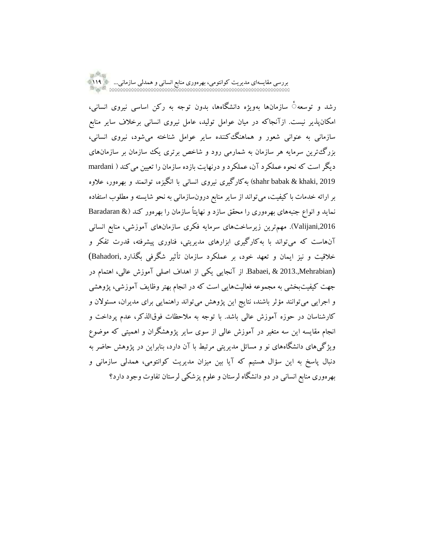رشد و توسعه ٔ سازمانها بهویژه دانشگاهها، بدون توجه به رکن اساسی نیروی انسانی، امکانپذیر نیست. ازآنجاکه در میان عوامل تولید، عامل نیروی انسانی برخالف سایر منابع سازمانی به عنوانی شعور و هماهنگکننده سایر عوامل شناخته میشود، نیروی انسانی، بزرگترین سرمایه هر سازمان به شمارمی رود و شاخص برتری یک سازمان بر سازمانهای دیگر است که نحوه عملکرد آن، عملکرد و درنهایت بازده سازمان را تعیین میکند ) mardani 2019 ,khaki & babak shahr )بهکارگیری نیروی انسانی با انگیزه، توانمند و بهرهور، عالوه بر ارائه خدمات با کیفیت، میتواند از سایر منابع درونسازمانی به نحو شایسته و مطلوب استفاده نماید و انواع جنبههای بهرهوری را محقق سازد و نهایتاً سازمان را بهرهور کند (& Baradaran ,2016Valijani). مهمترین زیرساختهای سرمایه فکری سازمانهای آموزشی، منابع انسانی آنهاست که میتواند با بهکارگیری ابزارهای مدیریتی، فناوری پیشرفته، قدرت تفکر و خالقیت و نیز ایمان و تعهد خود، بر عملکرد سازمان تأثیر شگرفی بگذارد ,Bahadori( (Mehrabian2013., & ,Babaei. از آنجایی یکی از اهداف اصلی آموزش عالی، اهتمام در جهت کیفیتبخشی به مجموعه فعالیتهایی است که در انجام بهتر وظایف آموزشی، پژوهشی و اجرایی میتوانند مؤثر باشند، نتایج این پژوهش میتواند راهنمایی برای مدیران، مسئوالن و کارشناسان در حوزه آموزش عالی باشد. با توجه به مالحظات فوقالذکر، عدم پرداخت و انجام مقایسه این سه متغیر در آموزش عالی از سوی سایر پژوهشگران و اهمیتی که موضوع ویژگیهای دانشگاههای نو و مسائل مدیریتی مرتبط با آن دارد، بنابراین در پژوهش حاضر به دنبال پاسخ به این سؤال هستیم که آیا بین میزان مدیریت کوانتومی، همدلی سازمانی و بهرهوری منابع انسانی در دو دانشگاه لرستان و علوم پزشکی لرستان تفاوت وجود دارد؟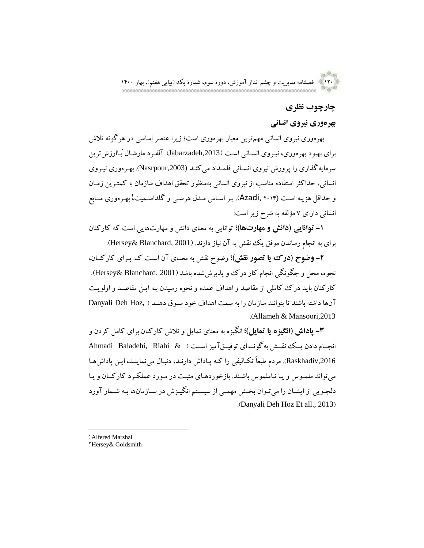an <sup>Sh</sup>otti 120 فصلنامه مدیریت و چشم انداز آموزش، دورة سوم، شمارة یک )پیاپی هفتم(، بهار 1400

## **چارچوب نظری**

## **بهرهوری نیروی انسانی**

بهرهوری نیروی انسانی مهمترین معیار بهرهوری است؛ زیرا عنصر اساسی در هرگونه تالش برای بهبود بهرهوری، نیروی انسـانی اسـت (Jabarzadeh,2013). آلفـرد مارشـال لبـاارزش ترین سرمایهگذاری را پرورش نیروی انســانی قلمــداد می کنــد (Nasrpour,2003). بهــرهوری نیــروی انسانی، حداکثر استفاده مناسب از نیروی انسانی بهمنظور تحقق اهداف سازمان با کمتررین زمران و حداقل هزینه است (Azadi, ۲۰۱۴). بـر اسـاس مـدل هرسـی و گلداسـمیت، بهـرهوری منـابع انسانی دارای 7 مؤلفه به شرح زیراست:

**-1 توانایی )دانش و مهارتها(؛** توانایی به معنای دانش و مهارتهایی است که کارکنان برای به انجام رساندن موفق یک نقش به آن نیاز دارند. (Hersey& Blanchard, 2001).

**-2 وضوح )درک یا تصور نقش(؛** وضوح نقش به معنرای آن اسرت کره بررای کارکنران، نحوه، محل و چگونگی انجام کار درک و پذیرششده باشد )2001 ,Blanchard& Hersey). کارکنان باید درک کاملی از مقاصد و اهداف عمده و نحوه رسیدن بره ایرن مقاصرد و اولویرت آنها داشته باشند تا بتوانند سازمان را به سمت اهداف خود سروق دهنرد ) ,Hoz Deh Danyali .)Allameh & Mansoori,2013

**-3 پاداش )انگیزه یا تمایل(؛** انگیزه به معنای تمایل وتالش کارکنان برای کامل کردن و انجررام دادن یررک نقررش بهگونررهای توفیررقآمیزاسررت ) & Riahi ,Baladehi Ahmadi Raskhadiv,2016. مردم طبعاً تکـالیفی را کـه پـاداش دارنـد، دنبـال مینماینـد، ایـن پاداشهـا می تواند ملمـوس و یـا نـاملموس باشـند. بازخوردهـای مثبـت در مـورد عملکـرد کارکنـان و یـا دلجویی از ایشـان را میتـوان بخـش مهمـی از سیسـتم انگیـزش در سـازمانها بـه شـمار آورد .(Danyali Deh Hoz Et all., 2013)

1. Alfered Marshal 2. Hersey& Goldsmith

 $\overline{a}$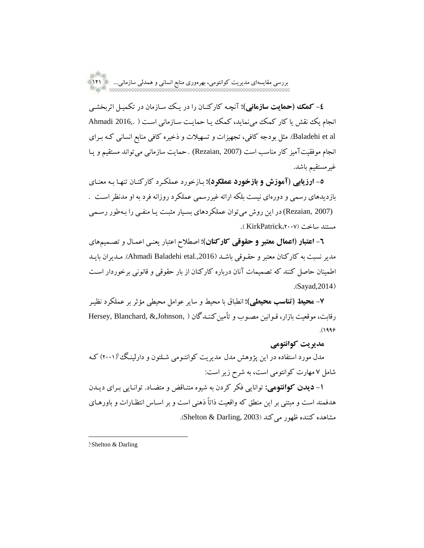**-4 کمک )حمایت سازمانی(؛** آنچره کارکنران را در یرک سرازمان در تکمیرل اثربخشری انجام یک نقش یا کار کمک مینماید، کمک یا حمایت سازمانی است ( .Ahmadi 2016 al et Baladehi). مثل بودجه کافی، تجهیزات و تسهیالت و ذخیره کافی منابع انسانی کره بررای انجام موفقیتآمیز کار مناسب است (2007 ,Rezaian (. حمایت سازمانی میتواند مستقیم و یرا غیرمستقیم باشد.

**-5 ارزیابی )آموزش و بازخورد عملکرد(؛** برازخورد عملکررد کارکنران تنهرا بره معنرای بازدیدهای رسمی و دورهای نیست بلکه ارائه غیررسمی عملکرد روزانه فرد به او مدنظراسرت . (Rezaian, 2007) در این روش می توان عملکردهای بسیار مثبت یـا منفـی را بـهطور رسـمی مستند ساخت )،2007KirkPatrick) .

**-6 اعتبار )اعمال معتبر و حقوقی کارکنان(؛** اصطالح اعتبار یعنری اعمرال و تصرمیمهای مدیر نسبت به کارکنان معتبر و حقـوقی باشـد (Ahmadi Baladehi etal.,2016). مـدیران بایـد اطمینان حاصل کنند که تصمیمات آنان درباره کارکنان از بار حقوقی و قانونی برخوردار اسرت  $.Savad,2014)$ 

**-7 محیط )تناسب محیطی(؛** انطباق با محیط و سایر عوامل محیطی مؤثر بر عملکرد نظیرر رقابت، موقعیت بازار، قبوانین مصبوب و تأمین کننیدگان ( ,Hersey, Blanchard, &,Johnson  $.1999$ 

## **مدیریت کوانتومی**

مدل مورد استفاده در این پژوهش مدل مدیریت کوانتـومی شـلتون و دارلینـگ (۲۰۰۱) کـه شامل 7 مهارت کوانتومی است، به شرح زیراست:

**-1 دیدن کوانتومی:** توانایی فکر کردن به شیوه متنراق و متضراد. توانرایی بررای دیردن هدفمند است و مبتنی بر این منطق که واقعیت ذاتاً ذهنی است و بر اسـاس انتظـارات و باورهـای مشاهده کننده ظهور می کند (2003 Shelton & Darling,).

 $\overline{a}$ 

<sup>1.</sup> Shelton & Darling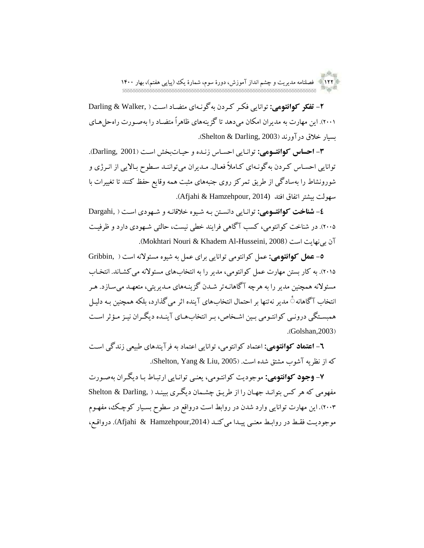122 فصلنامه مدیریت و چشم انداز آموزش، دورة سوم، شمارة یک )پیاپی هفتم(، بهار 1400

**-2 تفکر کوانتومی:** توانایی فکرر کرردن بهگونرهای متضراد اسرت ) ,Walker & Darling (۲۰۰۱). این مهارت به مدیران امکان می دهد تا گزینههای ظاهراً متضـاد را بهصـورت راهحا هـای بسیار خالق درآورند )2003 ,Darling & Shelton).

**-3 احساس کوانتوومی:** توانرایی احسراس زنرده و حیراتبخش اسرت )2001 ,Darling). توانایی احساس کردن بهگونـهای کـاملاً فعـال. مـدیران میتواننـد سـطوح بـالایی از انـرژی و شورونشاط را بهسادگی از طریق تمرکز روی جنبههای مثبت همه وقایع حفظ کنند تا تغییرات با سهولت بیشتر اتفاق افتد (2014 ,Hamzehpour & Afjahi).

**-4 شناخت کوانتوومی:** توانرایی دانسرتن بره شریوه خالقانره و شرهودی اسرت ) ,Dargahi 2005(. در شناخت کوانتومی، کسب آگاهی فرایند خطی نیست، حالتی شرهودی دارد و ظرفیرت .(Mokhtari Nouri & Khadem Al-Husseini, 2008).

**-5 عمل کوانتومی:** عمل کوانتومی توانایی برای عمل به شیوه مسئوالنه است ) ,Gribbin ۲۰۱۵). به کار بستن مهارت عمل کوانتومی، مدیر را به انتخابهای مسئولانه می کشـاند. انتخـاب مسئولانه همچنین مدیر را به هرچه آگاهانـهتر شـدن گزینـههای مـدیریتی، متعهـد می سـازد. هـر انتخاب آگاهانه ٔ مدیر نهتنها بر احتمال انتخابهای آینده اثر میگذارد، بلکه همچنین بره دلیرل همبستگی درونبی کوانتومی بین اشخاص، بر انتخابهای آینـده دیگـران نیـز مـؤثر اسـت  $\cdot$ Golshan, 2003)

**-6 اعتماد کوانتومی:** اعتماد کوانتومی، توانایی اعتماد به فرآیندهای طبیعی زندگی اسرت که از نظریه آشوب مشتق شده است. (2005 ,Shelton, Yang & Liu).

**-7 وجود کوانتومی:** موجودیت کوانترومی، یعنری توانرایی ارتبراط برا دیگرران بهصرورت مفهومی که هر کس بتوانرد جهران را از طریرق چشرمان دیگرری ببینرد ) ,Darling & Shelton 2003(. این مهارت توانایی وارد شدن در روابط است درواقع در سطوح بسریار کوچرک، مفهروم موجودیت فقط در روابط معنبی پیدا میکند (Afjahi & Hamzehpour,2014). درواقع،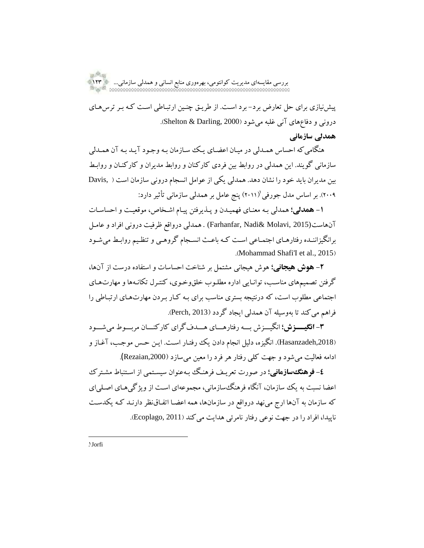پیشنیازی برای حل تعارض برد- برد اسرت. از طریرق چنرین ارتبراطی اسرت کره برر ترسهرای درونی و دفاعهای آنی غلبه میشود )2000 ,Darling & Shelton). **همدلی سازمانی**

هنگامی که احساس همـدلی در میـان اعضـای یـک سـازمان بـه وجـود آیـد بـه آن همـدلی سازمانی گویند. این همدلی در روابط بین فردی کارکنان و روابط مدیران و کارکنران و روابرط بین مدیران باید خود را نشان دهد. همدلی یکی از عوامل انسجام درونی سازمان است ) ,Davis ۲۰۰۹). بر اساس مدل جورفی'(۲۰۱۱) پنج عامل بر همدلی سازمانی تأثیر دارد:

**1- همدلی؛** همدلی بـه معنـای فهمیـدن و پـذیرفتن پیـام اشـخاص، موقعیـت و احساسـات آنهاست(2015 ,Farhanfar, Nadi & Molavi ) . همدلی درواقع ظرفیت درونی افراد و عامـل برانگیزاننرده رفتارهرای اجتمراعی اسرت کره باعرث انسرجام گروهری و تنظریم روابرط میشرود .(Mohammad Shafi'I et al., 2015)

**-2 هوش هیجانی؛** هوش هیجانی مشتمل بر شناخت احساسات و استفاده درست از آنها، گرفتن تصمیمهای مناسرب، توانرایی اداره مطلروب خلقوخروی، کنتررل تکانرهها و مهارتهرای اجتماعی مطلوب است، که درنتیجه بستری مناسب برای بره کرار برردن مهارتهرای ارتبراطی را فراهم میکند تا بهوسیله آن همدلی ایجاد گردد )2013 ,Perch).

**-3 انگیوووزش؛** انگیرررزش بررره رفتارهرررای هررردفگرای کارکنررران مربررروط میشرررود ),2018Hasanzadeh). انگیزه، دلیل انجام دادن یک رفترار اسرت. ایرن حرس موجرب، آغراز و ادامه فعالیت میشود و جهت کلی رفتار هر فرد را معین میسازد ),2000Rezaian(.

**-4 فرهنگسازمانی؛** در صورت تعریرف فرهنرگ برهعنوان سیسرتمی از اسرتنباط مشرترک اعضا نسبت به یک سازمان، آنگاه فرهنگسازمانی، مجموعهای اسرت از ویژگیهرای اصرلیای که سازمان به آنها ارج مینهد درواقع در سازمانها، همه اعضرا اتفراقنظر دارنرد کره یکدسرت ناپیدا، افراد را در جهت نوعی رفتار نامرئی هدایت میکند )2011 ,Ecoplago).

1. Jorfi

 $\overline{a}$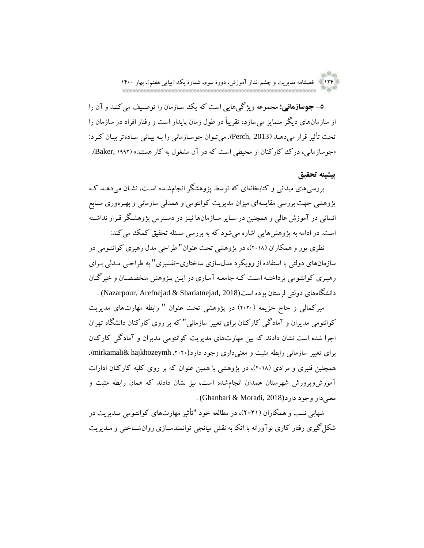124 فصلنامه مدیریت و چشم انداز آموزش، دورة سوم، شمارة یک )پیاپی هفتم(، بهار 1400

**-5 جوسازمانی؛** مجموعه ویژگیهایی است که یک سرازمان را توصریف میکنرد و آن را از سازمانهای دیگر متمایز می سازد، تقریباً در طول زمان پایدار است و رفتار افراد در سازمان را تحت تأثیر قرار می دهـد (Perch, 2013). میتوان جوسـازمانی را بـه بیـانی سـادهتر بیـان کـرد: «جوسازمانی، درک ککارکنان از محیطی است که در آن مشغول به کار هستند» (Baker, ۱۹۹۲).

## **پیشینه تحقیق**

بررسیهای میدانی و کتابخانهای که توسط پژوهشگر انجامشرده اسرت، نشران میدهرد کره پژوهشی جهت بررسی مقایسهای میزان مدیریت کوانتومی و همدلی سازمانی و بهررهوری منرابع انسانی در آموزش عالی و همچنین در سرایر سرازمانها نیرزدر دسرترس پژوهشرگرقررار نداشرته است. در ادامه به پژوهشهایی اشاره می شود که به بررسی مسئله تحقیق کمک می کند:

نظری پور و همکاران (۲۰۱۸)، در پژوهشی تحت عنوان" طراحی مدل رهبری کوانتومی در سازمانهای دولتی با استفاده از رویکرد مدلسازی ساختاری-تفسیری" به طراحری مردلی بررای رهبرری کوانترومی پرداختره اسرت کره جامعره آمراری در ایرن پرژوهش متخصصران و خبرگران دانشگاههای دولتی لرستان بوده است(2018 ,Nazarpour, Arefnejad & Shariatnejad) .

میرکمالی و حاج خزیمه (۲۰۲۰) در پژوهشی تحت عنوان " رابطه مهارتهای مدیریت کوانتومی مدیران و آمادگی کارکنان برای تغییر سازمانی" که بر روی کارکنان دانشگاه تهران اجرا شده است نشان دادند که بین مهارتهای مدیریت کوانتومی مدیران و آمادگی کارکنان برای تغییر سازمانی رابطه مثبت و معنیداری وجود دارد(,2020 hajkhozeymh& mirkamali). همچنین قنبری و مرادی (۲۰۱۸)، در پژوهشی با همین عنوان که بر روی کلیه کارکنان ادارات آموزشوپرورش شهرستان همدان انجامشده است، نیز نشان دادند که همان رابطه مثبت و  $\cdot$  (Ghanbari & Moradi, 2018) , معنی دار وجود دارد

شهابی نسب و همکاران )2021(، در مطالعه خود "تأثیر مهارتهای کوانترومی مردیریت در شکلگیری رفتار کاری نوآورانه با اتکا به نقش میانجی توانمندسرازی روانشرناختی و مردیریت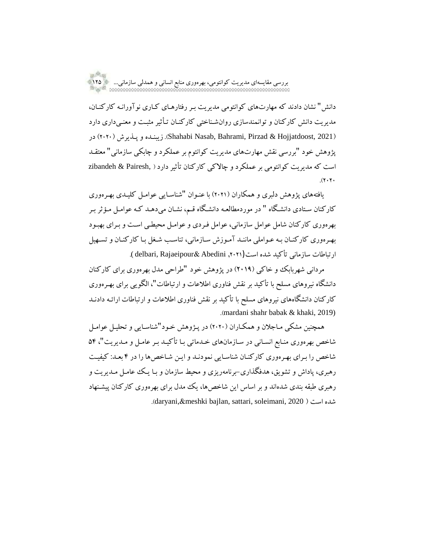دانش" نشان دادند که مهارتهای کوانتومی مدیریت برر رفتارهرای کراری نوآورانره کارکنران، مدیریت دانش کارکنان و توانمندسازی روانشرناختی کارکنران ترأثیر مثبرت و معنریداری دارد در( <sup>2020</sup> )پرذیرش و زیبنرده.(Shahabi Nasab, Bahrami, Pirzad & Hojjatdoost, <sup>2021</sup>( پژوهش خود "بررسی نقش مهارتهای مدیریت کوانتوم بر عملکرد و چابکی سازمانی" معتقرد است که مدیریت کوانتومی بر عملکرد و چاالکی کارکنان تأثیردارد) ,Pairesh & zibandeh  $.7.7.$ 

یافتههای پژوهش دلبری و همکاران )2021( با عنروان "شناسرایی عوامرل کلیردی بهررهوری کارکنان سرتادی دانشرگاه " در موردمطالعره دانشرگاه قرم، نشران میدهرد کره عوامرل مرؤثر برر بهرهوری کارکنان شامل عوامل سازمانی، عوامل فرردی و عوامرل محیطری اسرت و بررای بهبرود بهررهوری کارکنران بره عرواملی ماننرد آمروزش سرازمانی، تناسرب شرغل برا کارکنران وتسرهیل ارتباطات سازمانی تأکید شده است (,2021 delbari, Rajaeipour & Abedini).

مردانی شهربابک و خاکی )2019( در پژوهش خود "طراحی مدل بهرهوری برای کارکنان دانشگاه نیروهای مسلح با تأکید بر نقش فناوری اطلاعات و ارتباطات"، الگویی برای بهـر هوری کارکنان دانشگاههای نیروهای مسلح با تأکید بر نقش فناوری اطلاعات و ارتباطات ارائـه دادنـد .)mardani shahr babak & khaki, 2019)

همچنین مشکی مـاجلان و همکـاران (۲۰۲۰) در پـژوهش خـود"شناسـایی و تحلیـل عوامـل شاخص بهرهوری منرابع انسرانی در سرازمانهای خردماتی برا تأکیرد برر عامرل و مردیریت"، 54 شاخص را بررای بهررهوری کارکنران شناسرایی نمودنرد و ایرن شراخصها را در 4 بعرد: کیفیرت رهبری، پاداش و تشویق، هدفگذاری-برنامهریزی و محیط سازمان و بـا یـک عامـل مـدیریت و رهبری طبقه بندی شدهاند و بر اساس این شاخصها، یک مدل برای بهرهوری کارکنان پیشرنهاد .)daryani,&meshki bajlan, sattari, soleimani, 2020 ( است شده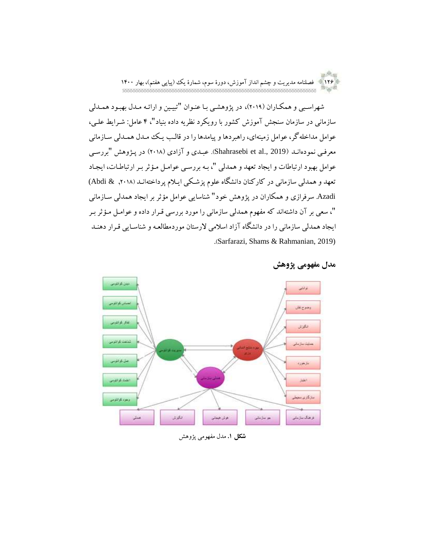an Rom 126 فصلنامه مدیریت و چشم انداز آموزش، دورة سوم، شمارة یک )پیاپی هفتم(، بهار 1400

شهراسبی و همکاران (۲۰۱۹)، در پژوهشبی با عنوان "تبیین و ارائه مدل بهبود همدلی سازمانی در سازمان سنجش آموزش کشور با رویکرد نظریه داده بنیاد"، 4 عامل: شررایط علری، عوامل مداخلهگر، عوامل زمینهای، راهبردها و پیامدها را در قالب یک ممدل همـدلی سـازمانی معرفی نمودهانـد (2019 .Shahrasebi et al). عبـدی و آزادی (۲۰۱۸) در پـژوهش "بررسـی عوامل بهبود ارتباطات و ایجاد تعهد و همدلی "، بـه بررسـی عوامـل مـؤثر بـر ارتباطـات، ایجـاد تعهد و همدلی سازمانی در کارکنان دانشگاه علوم پزشرکی ایرالم پرداختهانرد ),2018 & Abdi( Azadi. سرفرازی و همکاران در پژوهش خود" شناسایی عوامل مؤثر بر ایجاد همدلی سرازمانی "، سعی بر آن داشتهاند که مفهوم همدلی سازمانی را مورد بررسی قررار داده و عوامرل مرؤثر برر ایجاد همدلی سازمانی را در دانشگاه آزاد اسلامی لارستان موردمطالعـه و شناسـایی قـرار دهنـد .)Sarfarazi, Shams & Rahmanian, 2019)



### **مدل مفهومی پژوهش**

**شکل .1** مدل مفهومی پژوهش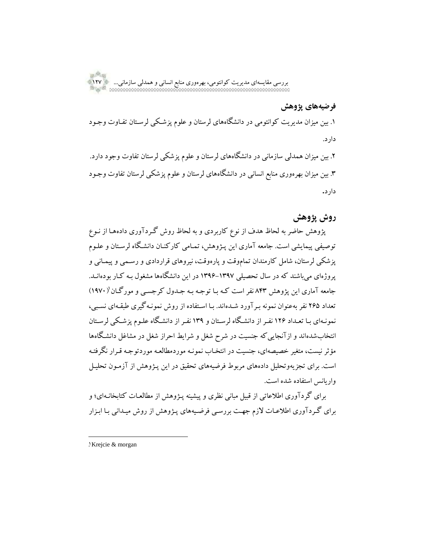**فرضیههای پژوهش**

.1 بین میزان مدیریت کوانتومی در دانشگاههای لرستان و علوم پزشرکی لرسرتان تفراوت وجرود دارد.

.2 بین میزان همدلی سازمانی در دانشگاههای لرستان و علوم پزشکی لرستان تفاوت وجود دارد. .3 بین میزان بهرهوری منابع انسانی در دانشگاههای لرستان و علوم پزشکی لرستان تفاوت وجرود دارد**.**

## **روش پژوهش**

پژوهش حاضر به لحاظ هدف از نوع کاربردی و به لحاظ روش گرردآوری دادههرا از نروع توصیفی پیمایشی است. جامعه آماری این پرژوهش، تمرامی کارکنران دانشرگاه لرسرتان و علروم پزشکی لرستان، شامل کارمندان تماموقت و پارهوقت، نیروهای قراردادی و رسرمی و پیمرانی و پروژهای میباشند که در سال تحصیلی ۱۳۹۷–۱۳۹۶ در این دانشگاهها مشغول بـه کـار بودهانــد. جامعه آماری این پژوهش ۸۴۳ نفر است کـه بـا توجـه بـه جـدول کرجسـی و مورگـان'( ۱۹۷۰) تعداد 265 نفر بهعنوان نمونه بررآورد شردهاند. برا اسرتفاده از روش نمونرهگیری طبقرهای نسربی، نمونـهای بـا تعـداد ۱۲۶ نفـر از دانشـگاه لرسـتان و ۱۳۹ نفـر از دانشـگاه علـوم پزشـکی لرسـتان انتخابشدهاند و ازآنجاییکه جنسیت در شرح شغل و شرایط احراز شغل در مشاغل دانشرگاهها مؤثر نیست، متغیر خصیصهای، جنسیت در انتخـاب نمونـه موردمطالعـه موردتوجـه قـرار نگرفتـه است. برای تجزیهوتحلیل دادههای مربوط فرضیههای تحقیق در این پرژوهش از آزمرون تحلیرل واریانس استفاده شده است.

برای گردآوری اطالعاتی از قبیل مبانی نظری و پیشینه پرژوهش از مطالعرات کتابخانرهای؛ و برای گرردآوری اطالعرات الزم جهرت بررسری فرضریههای پرژوهش از روش میردانی برا ابرزار

 $\overline{a}$ 

<sup>1.</sup> Krejcie & morgan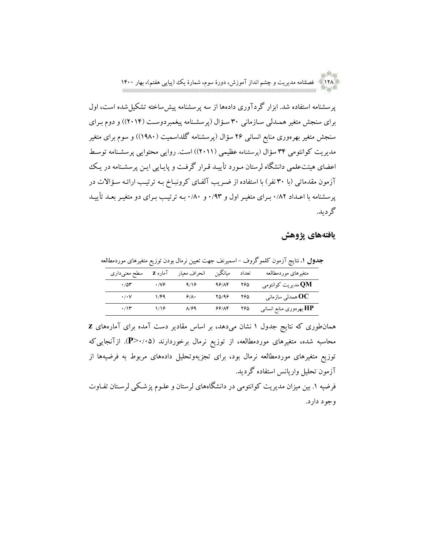128 فصلنامه مدیریت و چشم انداز آموزش، دورة سوم، شمارة یک )پیاپی هفتم(، بهار 1400

پرسشنامه استفاده شد. ابزار گردآوری دادهها از سه پرسشنامه پیشساخته تشکیلشده است، اول برای سنجش متغیر همـدلی سـازمانی ۳۰ سـؤال (پرسشـنامه پیغمبردوسـت (۲۰۱۴)) و دوم بـرای سنجش متغیر بهرهوری منابع انسانی 26 سؤال )پرسشنامه گلداسمیت )1980(( و سوم برای متغیر مدیریت کوانتومی 34 سؤال )پرسشنامه عظیمی )2011(( است. روایی محتوایی پرسشرنامه توسرط اعضای هیئتعلمی دانشگاه لرستان مـورد تأییـد قـرار گرفـت و پایـایی ایـن پرسشـنامه در یـک آزمون مقدماتی (با ۳۰ نفر) با استفاده از ضریب آلفای کرونبـاخ بـه ترتیـب ارائـه سـؤالات در پرسشنامه با اعـداد ۸۲٪ بـرای متغیـر اول و ۰/۹۳ و ۰/۸۰ بـه ترتیـب بـرای دو متغیـر بعـد تأییـد گردید.

## **یافتههای پژوهش**

|  |                                                                                                                                                                                                                                                                                                                                                     |  | متغیرهای موردمطالعه         تعداد      میانگین      انحراف معیار      آماره Z     سطح معنیداری |
|--|-----------------------------------------------------------------------------------------------------------------------------------------------------------------------------------------------------------------------------------------------------------------------------------------------------------------------------------------------------|--|------------------------------------------------------------------------------------------------|
|  | $\cdot$ / $\circ$ $\cdot$ / $\cdot$ / $\cdot$ / $\cdot$ / $\cdot$ / $\cdot$ / $\cdot$ / $\cdot$ / $\cdot$ / $\cdot$ / $\cdot$ / $\cdot$ / $\cdot$ / $\cdot$ / $\cdot$ / $\cdot$ / $\cdot$ / $\cdot$ / $\cdot$ / $\cdot$ / $\cdot$ / $\cdot$ / $\cdot$ / $\cdot$ / $\cdot$ / $\cdot$ / $\cdot$ / $\cdot$ / $\cdot$ / $\cdot$ /                       |  | مدیریت کوانتومی QM                                                                             |
|  | $\cdot$ /· $\vee$ // $\uparrow$ // $\uparrow$ // $\uparrow$ // $\uparrow$ // $\uparrow$ // $\uparrow$ // $\uparrow$ // $\uparrow$ // $\uparrow$ // $\uparrow$ // $\uparrow$ // $\uparrow$ // $\uparrow$ // $\uparrow$ // $\uparrow$ // $\uparrow$ // $\uparrow$ // $\uparrow$ // $\uparrow$ // $\uparrow$ // $\uparrow$ // $\uparrow$ // $\uparrow$ |  | ممدلی سازمانی $\mathbf{OC}$                                                                    |

همانطوری که نتایج جدول 1 نشان میدهد، بر اساس مقادیر دست آمده برای آمارههای **z** محاسبه شده، متغیرهای موردمطالعه، از توزیع نرمال برخوردارند )0/05>**P**). ازآنجاییکه توزیع متغیرهای موردمطالعه نرمال بود، برای تجزیهوتحلیل دادههای مربوط به فرضیهها از آزمون تحلیل واریانس استفاده گردید.

فرضیه .1 بین میزان مدیریت کوانتومی در دانشگاههای لرستان و علروم پزشرکی لرسرتان تفراوت وجود دارد.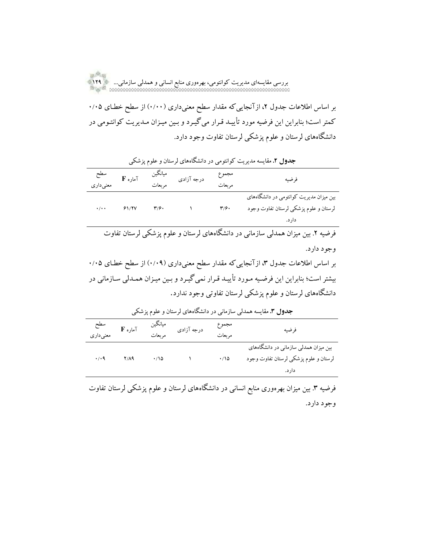بر اساس اطلاعات جدول ۲، ازآنجاییکه مقدار سطح معنیداری (۱٬۰۰۰) از سطح خطـای ۰/۰۵ کمتر است؛ بنابراین این فرضیه مورد تأییـد قـرار میگیـرد و بـین میـزان مـدیریت کوانتـومی در دانشگاههای لرستان و علوم پزشکی لرستان تفاوت وجود دارد.

| فرضيه                                                                                         | مجموع<br>مربعات | میانگین<br>درجه آزادی |                           | $\mathbf F$ آماره $\mathbf F$               | سطح<br>معنیداری |  |
|-----------------------------------------------------------------------------------------------|-----------------|-----------------------|---------------------------|---------------------------------------------|-----------------|--|
| بین میزان مدیریت کوانتومی در دانشگاههای<br>لرستان و علوم پزشکی لرستان تفاوت وجود<br>دار د.    | ۳۱۶۰            | $\mathcal{N}$ .       | $\mathbf{r}/\mathbf{r}$ . | $\cdot/\cdot$ $\frac{5}{10}$ $\frac{5}{10}$ |                 |  |
| فرضیه ۲. بین میزان همدلی سازمانی در دانشگاههای لرستان و علوم پزشکی لرستان تفاوت<br>وجود دارد. |                 |                       |                           |                                             |                 |  |
|                                                                                               |                 |                       |                           |                                             |                 |  |

**جدول .2** مقایسه مدیریت کوانتومی در دانشگاههای لرستان و علوم پزشکی

بر اساس اطلاعات جدول ۳، ازآنجاییکه مقدار سطح معنیداری (۰/۰۹) از سطح خطـای ۰/۰۵ بیشتر است؛ بنابراین این فرضیه مـورد تأییـد قـرار نمیگیـرد و بـین میـزان همـدلی سـازمانی در دانشگاههای لرستان و علوم پزشکی لرستان تفاوتی وجود ندارد.

| <b>جدول ۳.</b> مقایسه همدل <sub>ی</sub> سازمانی در دانشگاههای لرستان و علوم پزشکی |      |                  |                                      |                 |                                                                                          |  |  |
|-----------------------------------------------------------------------------------|------|------------------|--------------------------------------|-----------------|------------------------------------------------------------------------------------------|--|--|
| سطح<br>معنیداری                                                                   |      | ميانگين          | میانکین<br>درجه آزادی مربعات آماره F | مجموع<br>مربعات | فرضيه                                                                                    |  |  |
| $\cdot$ / $\cdot$ 9                                                               | Y/A9 | $\cdot/\sqrt{2}$ |                                      | $\cdot$ 10      | بین میزان همدلی سازمانی در دانشگاههای<br>لرستان و علوم پزشکی لرستان تفاوت وجود<br>دار د. |  |  |

فرضیه ۳. بین میزان بهرهوری منابع انسانی در دانشگاههای لرستان و علوم پزشکی لرستان تفاوت وجود دارد.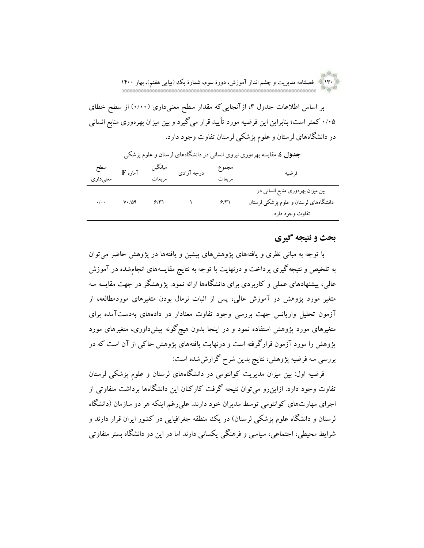130 فصلنامه مدیریت و چشم انداز آموزش، دورة سوم، شمارة یک )پیاپی هفتم(، بهار 1400

بر اساس اطلاعات جدول ۴، ازآنجاییکه مقدار سطح معنیداری (۱٬۰۰۰) از سطح خطای 0/05 کمتر است؛ بنابراین این فرضیه مورد تأیید قرار میگیرد و بین میزان بهرهوری منابع انسانی در دانشگاههای لرستان و علوم پزشکی لرستان تفاوت وجود دارد.

|                           |                      | ص رحب رہیں ت      |            | ۔                | --                                                                                             |
|---------------------------|----------------------|-------------------|------------|------------------|------------------------------------------------------------------------------------------------|
| سطح<br>معنىدارى           | $F$ آماره $T$        | ميانگين<br>مربعات | درجه آزادي | مجموع<br>مر ىعات | فرضيه                                                                                          |
| $\cdot$ / $\cdot$ $\cdot$ | $V \cdot / \Delta$ 9 | 9/7               |            | 9/7              | بین میزان بهرهوری منابع انسانی در<br>دانشگاههای لرستان و علوم پزشکی لرستان<br>تفاوت وجود دارد. |

**جدول .4** مقایسه بهرهوری نیروی انسانی در دانشگاههای لرستان و علوم پزشکی

## **بحث و نتیجه گیری**

با توجه به مبانی نظری و یافتههای پژوهشهای پیشین و یافتهها در پژوهش حاضر میتوان به تلخیص و نتیجهگیری پرداخت و درنهایت با توجه به نتایج مقایسههای انجامشده در آموزش عالی، پیشنهادهای عملی و کاربردی برای دانشگاهها ارائه نمود. پژوهشگر در جهت مقایسه سه متغیر مورد پژوهش در آموزش عالی، پس از اثبات نرمال بودن متغیرهای موردمطالعه، از آزمون تحلیل واریانس جهت بررسی وجود تفاوت معنادار در دادههای بهدستآمده برای متغیرهای مورد پژوهش استفاده نمود و در اینجا بدون هیچگونه پیشداوری، متغیرهای مورد پژوهش را مورد آزمون قرارگرفته است و درنهایت یافتههای پژوهش حاکی از آن است که در بررسی سه فرضیه پژوهش، نتایج بدین شرح گزارششده است:

فرضیه اول: بین میزان مدیریت کوانتومی در دانشگاههای لرستان و علوم پزشکی لرستان تفاوت وجود دارد. ازاینرو میتوان نتیجه گرفت کارکنان این دانشگاهها برداشت متفاوتی از اجرای مهارتهای کوانتومی توسط مدیران خود دارند. علیرغم اینکه هر دو سازمان )دانشگاه لرستان و دانشگاه علوم پزشکی لرستان) در یک منطقه جغرافیایی در کشور ایران قرار دارند و شرایط محیطی، اجتماعی، سیاسی و فرهنگی یکسانی دارند اما در این دو دانشگاه بستر متفاوتی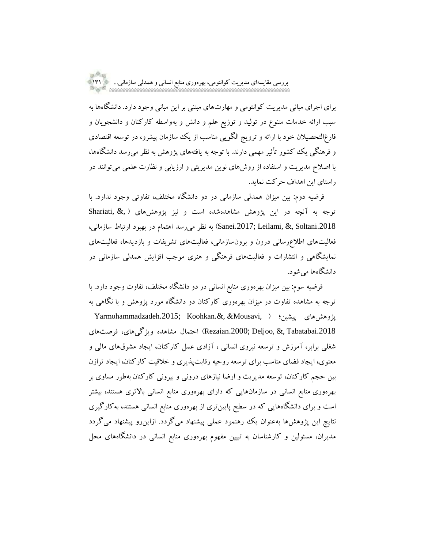برای اجرای مبانی مدیریت کوانتومی و مهارتهای مبتنی بر این مبانی وجود دارد. دانشگاهها به سبب ارائه خدمات متنوع در تولید و توزیع علم و دانش و بهواسطه کارکنان و دانشجویان و فارغالتحصیالن خود با ارائه و ترویج الگویی مناسب از یک سازمان پیشرو، در توسعه اقتصادی و فرهنگی یک کشور تأثیر مهمی دارند. با توجه به یافتههای پژوهش به نظر میرسد دانشگاهها، با اصالح مدیریت و استفاده از روشهای نوین مدیریتی و ارزیابی و نظارت علمی میتوانند در راستای این اهداف حرکت نماید.

فرضیه دوم: بین میزان همدلی سازمانی در دو دانشگاه مختلف، تفاوتی وجود ندارد. با Shariati, &, ) توجه به آنچه در این پژوهش مشاهدهشده است و نیز پژوهشهای ( .2018Soltani , &,Leilami; .2017Sanei )به نظر میرسد اهتمام در بهبود ارتباط سازمانی، فعالیتهای اطالعرسانی درون و برونسازمانی، فعالیتهای تشریفات و بازدیدها، فعالیتهای نمایشگاهی و انتشارات و فعالیتهای فرهنگی و هنری موجب افزایش همدلی سازمانی در دانشگاهها میشود.

فرضیه سوم: بین میزان بهرهوری منابع انسانی در دو دانشگاه مختلف، تفاوت وجود دارد. با توجه به مشاهده تفاوت در میزان بهرهوری کارکنان دو دانشگاه مورد پژوهش و با نگاهی به Yarmohammadzadeh.2015; Koohkan.&, &Mousavi, ( پیشین؛ پژوهشهای .2018Tabatabai , &,Deljoo; .2000Rezaian )احتمال مشاهده ویژگیهای، فرصتهای شغلی برابر، آموزش و توسعه نیروی انسانی ، آزادی عمل کارکنان، ایجاد مشوقهای مالی و معنوی، ایجاد فضای مناسب برای توسعه روحیه رقابتپذیری و خالقیت کارکنان، ایجاد توازن بین حجم کارکنان، توسعه مدیریت و ارضا نیازهای درونی و بیرونی کارکنان بهطور مساوی بر بهرهوری منابع انسانی در سازمانهایی که دارای بهرهوری منابع انسانی باالتری هستند، بیشتر است و برای دانشگاههایی که در سطح پایینتری از بهرهوری منابع انسانی هستند، بهکارگیری نتایج این پژوهشها بهعنوان یک رهنمود عملی پیشنهاد میگردد. ازاینرو پیشنهاد میگردد مدیران، مسئولین و کارشناسان به تبیین مفهوم بهرهوری منابع انسانی در دانشگاههای محل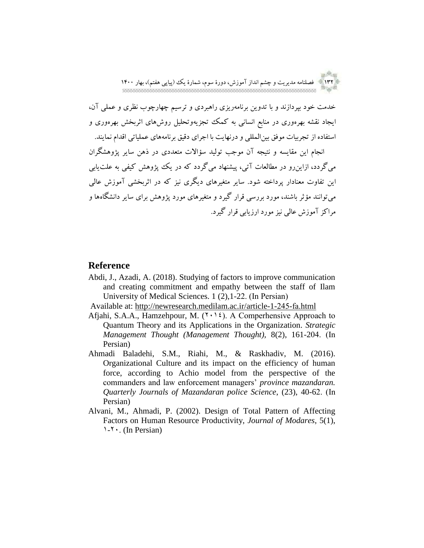an <sup>Sh</sup>ou 132 فصلنامه مدیریت و چشم انداز آموزش، دورة سوم، شمارة یک )پیاپی هفتم(، بهار 1400

خدمت خود بپردازند و با تدوین برنامهریزی راهبردی و ترسیم چهارچوب نظری و عملی آن، ایجاد نقشه بهرهوری در منابع انسانی به کمک تجزیهوتحلیل روشهای اثربخش بهرهوری و استفاده از تجربیات موفق بینالمللی و درنهایت با اجرای دقیق برنامههای عملیاتی اقدام نمایند.

انجام این مقایسه و نتیجه آن موجب تولید سؤاالت متعددی در ذهن سایر پژوهشگران میگردد، ازاینرو در مطالعات آتی، پیشنهاد میگردد که در یک پژوهش کیفی به علتیابی این تفاوت معنادار پرداخته شود. سایر متغیرهای دیگری نیز که در اثربخشی آموزش عالی میتوانند مؤثر باشند، مورد بررسی قرار گیرد و متغیرهای مورد پژوهش برای سایر دانشگاهها و مراکز آموزش عالی نیز مورد ارزیابی قرار گیرد.

## **Reference**

Abdi, J., Azadi, A. (2018). Studying of factors to improve communication and creating commitment and empathy between the staff of Ilam University of Medical Sciences. 1 (2),1-22. (In Persian)

Available at: http://newresearch.medilam.ac.ir/article-1-245-fa.html

- Afjahi, S.A.A., Hamzehpour, M.  $(1 \cdot 1)$ . A Comperhensive Approach to Quantum Theory and its Applications in the Organization. *Strategic Management Thought (Management Thought),* 8(2), 161-204. (In Persian)
- Ahmadi Baladehi, S.M., Riahi, M., & Raskhadiv, M. (2016). Organizational Culture and its impact on the efficiency of human force, according to Achio model from the perspective of the commanders and law enforcement managers' *province mazandaran. Quarterly Journals of Mazandaran police Science*, (23), 40-62. (In Persian)
- Alvani, M., Ahmadi, P. (2002). Design of Total Pattern of Affecting Factors on Human Resource Productivity, *Journal of Modares*, 5(1),  $1 - 7$ . (In Persian)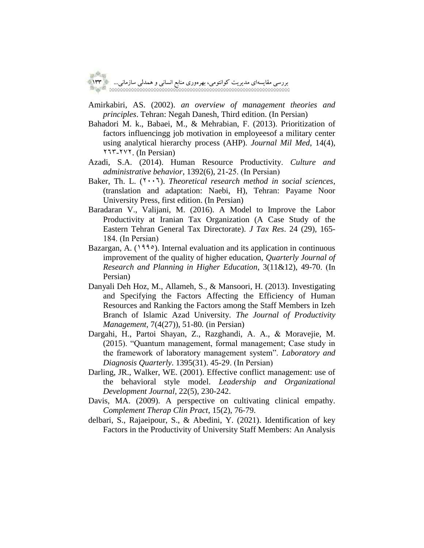Amirkabiri, AS. (2002). *an overview of management theories and principles*. Tehran: Negah Danesh, Third edition. (In Persian)

- Bahadori M. k., Babaei, M., & Mehrabian, F. (2013). Prioritization of factors influencingg job motivation in employeesof a military center using analytical hierarchy process (AHP). *Journal Mil Med*, 14(4),  $Y1Y-YY$ . (In Persian)
- Azadi, S.A. (2014). Human Resource Productivity. *Culture and administrative behavior*, 1392(6), 21-25. (In Persian)
- Baker, Th. L.  $(Y \cdot Y)$ . *Theoretical research method in social sciences*, (translation and adaptation: Naebi, H), Tehran: Payame Noor University Press, first edition. (In Persian)
- Baradaran V., Valijani, M. (2016). A Model to Improve the Labor Productivity at Iranian Tax Organization (A Case Study of the Eastern Tehran General Tax Directorate). *J Tax Res*. 24 (29), 165- 184. (In Persian)
- Bazargan, A. (1990). Internal evaluation and its application in continuous improvement of the quality of higher education, *Quarterly Journal of Research and Planning in Higher Education*, 3(11&12), 49-70. (In Persian)
- Danyali Deh Hoz, M., Allameh, S., & Mansoori, H. (2013). Investigating and Specifying the Factors Affecting the Efficiency of Human Resources and Ranking the Factors among the Staff Members in Izeh Branch of Islamic Azad University*. The Journal of Productivity Management,* 7(4(27)), 51-80*.* (in Persian)
- Dargahi, H., Partoi Shayan, Z., Razghandi, A. A., & Moravejie, M. (2015). "Quantum management, formal management; Case study in the framework of laboratory management system". *Laboratory and Diagnosis Quarterly*. 1395(31). 45-29. (In Persian)
- Darling, JR., Walker, WE. (2001). Effective conflict management: use of the behavioral style model. *Leadership and Organizational Development Journal*, 22(5), 230-242.
- Davis, MA. (2009). A perspective on cultivating clinical empathy. *Complement Therap Clin Pract*, 15(2), 76-79.
- delbari, S., Rajaeipour, S., & Abedini, Y. (2021). Identification of key Factors in the Productivity of University Staff Members: An Analysis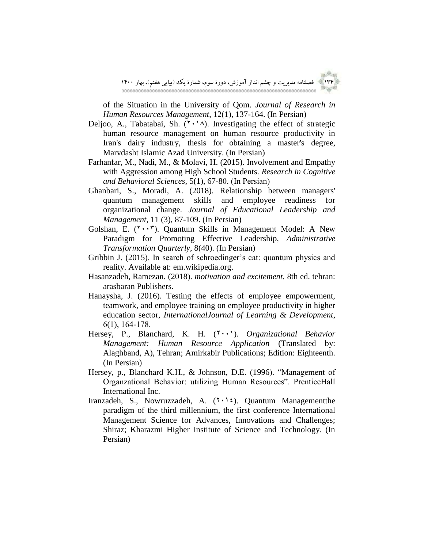

of the Situation in the University of Qom*. Journal of Research in Human Resources Management*, 12(1), 137-164. (In Persian)

- Deljoo, A., Tabatabai, Sh.  $(1 \cdot 1)$ . Investigating the effect of strategic human resource management on human resource productivity in Iran's dairy industry, thesis for obtaining a master's degree, Marvdasht Islamic Azad University. (In Persian)
- Farhanfar, M., Nadi, M., & Molavi, H. (2015). Involvement and Empathy with Aggression among High School Students. *Research in Cognitive and Behavioral Sciences*, 5(1), 67-80. (In Persian)
- Ghanbari, S., Moradi, A. (2018). Relationship between managers' quantum management skills and employee readiness for organizational change. *Journal of Educational Leadership and Management*, 11 (3), 87-109. (In Persian)
- Golshan, E.  $(Y \cdot Y)$ . Quantum Skills in Management Model: A New Paradigm for Promoting Effective Leadership, *Administrative Transformation Quarterly*, 8(40). (In Persian)
- Gribbin J. (2015). In search of schroedinger's cat: quantum physics and reality. Available at: em.wikipedia.org.
- Hasanzadeh, Ramezan. (2018). *motivation and excitement.* 8th ed. tehran: arasbaran Publishers.
- Hanaysha, J. (2016). Testing the effects of employee empowerment, teamwork, and employee training on employee productivity in higher education sector, *InternationalJournal of Learning & Development*, 6(1), 164-178.
- Hersey, P., Blanchard, K. H. (<sup>1</sup>.1). *Organizational Behavior Management: Human Resource Application* (Translated by: Alaghband, A), Tehran; Amirkabir Publications; Edition: Eighteenth. (In Persian)
- Hersey, p., Blanchard K.H., & Johnson, D.E. (1996). "Management of Organzational Behavior: utilizing Human Resources". PrenticeHall International Inc.
- Iranzadeh, S., Nowruzzadeh, A.  $(1 \cdot 1)$ . Quantum Managementthe paradigm of the third millennium, the first conference International Management Science for Advances, Innovations and Challenges; Shiraz; Kharazmi Higher Institute of Science and Technology. (In Persian)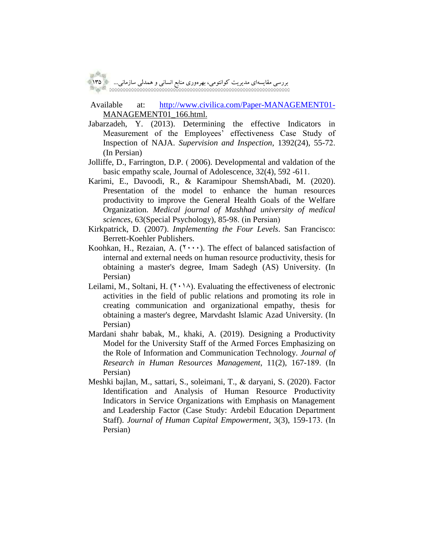Available at: [http://www.civilica.com/Paper-MANAGEMENT01-](http://www.civilica.com/Paper-MANAGEMENT01-MANAGEMENT01_166.html) MANAGEMENT01\_166.html.

- Jabarzadeh, Y. (2013). Determining the effective Indicators in Measurement of the Employees' effectiveness Case Study of Inspection of NAJA. *Supervision and Inspection*, 1392(24), 55-72. (In Persian)
- Jolliffe, D., Farrington, D.P. ( 2006). Developmental and valdation of the basic empathy scale, Journal of Adolescence, 32(4), 592 -611.
- Karimi, E., Davoodi, R., & Karamipour ShemshAbadi, M. (2020). Presentation of the model to enhance the human resources productivity to improve the General Health Goals of the Welfare Organization. *Medical journal of Mashhad university of medical sciences*, 63(Special Psychology), 85-98. (in Persian)
- Kirkpatrick, D. (2007). *Implementing the Four Levels*. San Francisco: Berrett-Koehler Publishers.
- Koohkan, H., Rezaian, A.  $(7 \cdots)$ . The effect of balanced satisfaction of internal and external needs on human resource productivity, thesis for obtaining a master's degree, Imam Sadegh (AS) University. (In Persian)
- Leilami, M., Soltani, H.  $(7 \cdot 1)$ . Evaluating the effectiveness of electronic activities in the field of public relations and promoting its role in creating communication and organizational empathy, thesis for obtaining a master's degree, Marvdasht Islamic Azad University. (In Persian)
- Mardani shahr babak, M., khaki, A. (2019). Designing a Productivity Model for the University Staff of the Armed Forces Emphasizing on the Role of Information and Communication Technology. *Journal of Research in Human Resources Management*, 11(2), 167-189. (In Persian)
- Meshki bajlan, M., sattari, S., soleimani, T., & daryani, S. (2020). Factor Identification and Analysis of Human Resource Productivity Indicators in Service Organizations with Emphasis on Management and Leadership Factor (Case Study: Ardebil Education Department Staff). *Journal of Human Capital Empowerment*, 3(3), 159-173. (In Persian)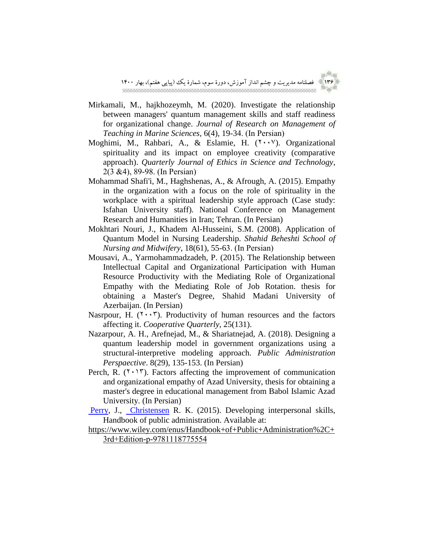

- Mirkamali, M., hajkhozeymh, M. (2020). Investigate the relationship between managers' quantum management skills and staff readiness for organizational change. *Journal of Research on Management of Teaching in Marine Sciences,* 6(4), 19-34. (In Persian)
- Moghimi, M., Rahbari, A., & Eslamie, H.  $(7 \cdot \cdot \vee)$ . Organizational spirituality and its impact on employee creativity (comparative approach). *Quarterly Journal of Ethics in Science and Technology*, 2(3 &4), 89-98. (In Persian)
- Mohammad Shafi'i, M., Haghshenas, A., & Afrough, A. (2015). Empathy in the organization with a focus on the role of spirituality in the workplace with a spiritual leadership style approach (Case study: Isfahan University staff). National Conference on Management Research and Humanities in Iran; Tehran. (In Persian)
- Mokhtari Nouri, J., Khadem Al-Husseini, S.M. (2008). Application of Quantum Model in Nursing Leadership. *Shahid Beheshti School of Nursing and Midwifery*, 18(61), 55-63. (In Persian)
- Mousavi, A., Yarmohammadzadeh, P. (2015). The Relationship between Intellectual Capital and Organizational Participation with Human Resource Productivity with the Mediating Role of Organizational Empathy with the Mediating Role of Job Rotation. thesis for obtaining a Master's Degree, Shahid Madani University of Azerbaijan. (In Persian)
- Nasrpour, H.  $(Y \cdot Y)$ . Productivity of human resources and the factors affecting it. *Cooperative Quarterly*, 25(131).
- Nazarpour, A. H., Arefnejad, M., & Shariatnejad, A. (2018). Designing a quantum leadership model in government organizations using a structural-interpretive modeling approach. *Public Administration Perspaective*. 8(29), 135-153. (In Persian)
- Perch, R.  $(1 \cdot 17)$ . Factors affecting the improvement of communication and organizational empathy of Azad University, thesis for obtaining a master's degree in educational management from Babol Islamic Azad University. (In Persian)
- [Perry,](https://www.wiley.com/en-us/search?pq=%7Crelevance%7Cauthor%3AJames+L.+Perry) J., [Christensen](https://www.wiley.com/en-us/search?pq=%7Crelevance%7Cauthor%3ARobert+K.+Christensen) R. K. (2015). Developing interpersonal skills, Handbook of public administration. Available at:
- https://www.wiley.com/enus/Handbook+of+Public+Administration%2C+ 3rd+Edition-p-9781118775554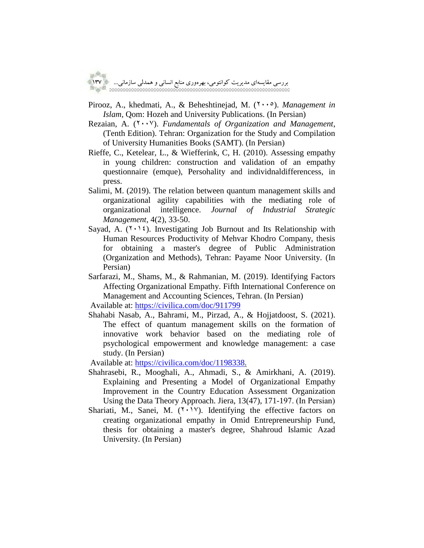Pirooz, A., khedmati, A., & Beheshtinejad, M. (7000). *Management in Islam*, Qom: Hozeh and University Publications. (In Persian)

- Rezaian, A. (<sup>1</sup> · · <sup>v</sup>). *Fundamentals of Organization and Management*, (Tenth Edition). Tehran: Organization for the Study and Compilation of University Humanities Books (SAMT). (In Persian)
- Rieffe, C., Ketelear, L., & Wiefferink, C, H. (2010). Assessing empathy in young children: construction and validation of an empathy questionnaire (emque), Persohality and individnaldifferencess, in press.
- Salimi, M. (2019). The relation between quantum management skills and organizational agility capabilities with the mediating role of organizational intelligence. *Journal of Industrial Strategic Management*, 4(2), 33-50.
- Sayad, A.  $(1 \cdot 1)$ . Investigating Job Burnout and Its Relationship with Human Resources Productivity of Mehvar Khodro Company, thesis for obtaining a master's degree of Public Administration (Organization and Methods), Tehran: Payame Noor University. (In Persian)
- Sarfarazi, M., Shams, M., & Rahmanian, M. (2019). Identifying Factors Affecting Organizational Empathy. Fifth International Conference on Management and Accounting Sciences, Tehran. (In Persian)

Available at:<https://civilica.com/doc/911799>

Shahabi Nasab, A., Bahrami, M., Pirzad, A., & Hojjatdoost, S. (2021). The effect of quantum management skills on the formation of innovative work behavior based on the mediating role of psychological empowerment and knowledge management: a case study. (In Persian)

Available at: [https://civilica.com/doc/1198338.](https://civilica.com/doc/1198338)

- Shahrasebi, R., Mooghali, A., Ahmadi, S., & Amirkhani, A. (2019). Explaining and Presenting a Model of Organizational Empathy Improvement in the Country Education Assessment Organization Using the Data Theory Approach. Jiera, 13(47), 171-197. (In Persian)
- Shariati, M., Sanei, M.  $(Y \cdot V)$ . Identifying the effective factors on creating organizational empathy in Omid Entrepreneurship Fund, thesis for obtaining a master's degree, Shahroud Islamic Azad University. (In Persian)